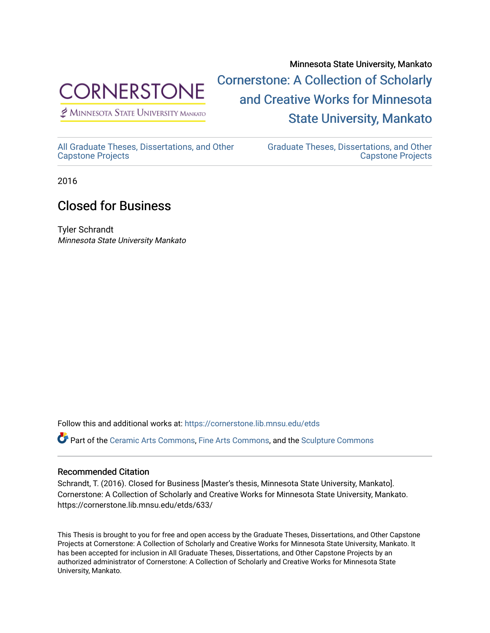

 $<sup>2</sup>$  Minnesota State University Mankato</sup>

Minnesota State University, Mankato [Cornerstone: A Collection of Scholarly](https://cornerstone.lib.mnsu.edu/)  [and Creative Works for Minnesota](https://cornerstone.lib.mnsu.edu/)  [State University, Mankato](https://cornerstone.lib.mnsu.edu/) 

[All Graduate Theses, Dissertations, and Other](https://cornerstone.lib.mnsu.edu/etds)  [Capstone Projects](https://cornerstone.lib.mnsu.edu/etds) 

[Graduate Theses, Dissertations, and Other](https://cornerstone.lib.mnsu.edu/theses_dissertations-capstone)  [Capstone Projects](https://cornerstone.lib.mnsu.edu/theses_dissertations-capstone) 

2016

## Closed for Business

Tyler Schrandt Minnesota State University Mankato

Follow this and additional works at: [https://cornerstone.lib.mnsu.edu/etds](https://cornerstone.lib.mnsu.edu/etds?utm_source=cornerstone.lib.mnsu.edu%2Fetds%2F633&utm_medium=PDF&utm_campaign=PDFCoverPages) 

Part of the [Ceramic Arts Commons,](http://network.bepress.com/hgg/discipline/1336?utm_source=cornerstone.lib.mnsu.edu%2Fetds%2F633&utm_medium=PDF&utm_campaign=PDFCoverPages) [Fine Arts Commons,](http://network.bepress.com/hgg/discipline/1141?utm_source=cornerstone.lib.mnsu.edu%2Fetds%2F633&utm_medium=PDF&utm_campaign=PDFCoverPages) and the [Sculpture Commons](http://network.bepress.com/hgg/discipline/1341?utm_source=cornerstone.lib.mnsu.edu%2Fetds%2F633&utm_medium=PDF&utm_campaign=PDFCoverPages)

## Recommended Citation

Schrandt, T. (2016). Closed for Business [Master's thesis, Minnesota State University, Mankato]. Cornerstone: A Collection of Scholarly and Creative Works for Minnesota State University, Mankato. https://cornerstone.lib.mnsu.edu/etds/633/

This Thesis is brought to you for free and open access by the Graduate Theses, Dissertations, and Other Capstone Projects at Cornerstone: A Collection of Scholarly and Creative Works for Minnesota State University, Mankato. It has been accepted for inclusion in All Graduate Theses, Dissertations, and Other Capstone Projects by an authorized administrator of Cornerstone: A Collection of Scholarly and Creative Works for Minnesota State University, Mankato.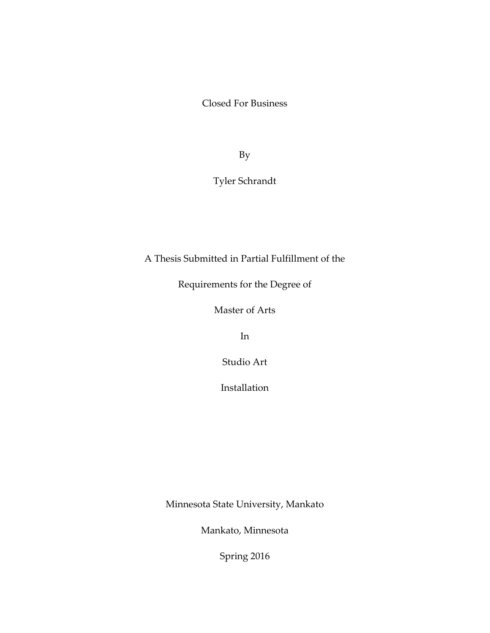Closed For Business

By

Tyler Schrandt

A Thesis Submitted in Partial Fulfillment of the

Requirements for the Degree of

Master of Arts

In

Studio Art

Installation

Minnesota State University, Mankato

Mankato, Minnesota

Spring 2016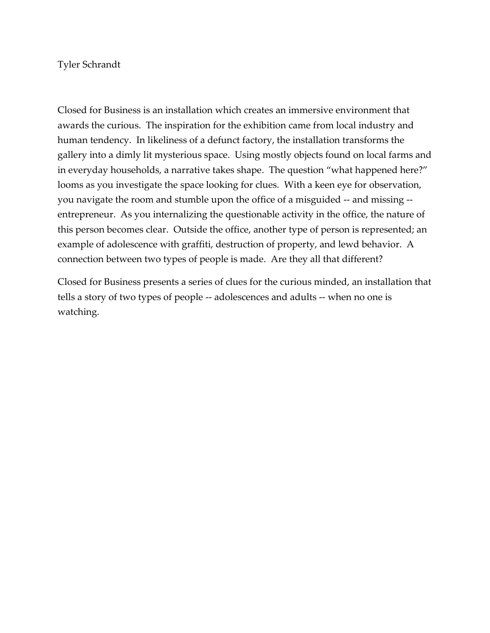## Tyler Schrandt

Closed for Business is an installation which creates an immersive environment that awards the curious. The inspiration for the exhibition came from local industry and human tendency. In likeliness of a defunct factory, the installation transforms the gallery into a dimly lit mysterious space. Using mostly objects found on local farms and in everyday households, a narrative takes shape. The question "what happened here?" looms as you investigate the space looking for clues. With a keen eye for observation, you navigate the room and stumble upon the office of a misguided -- and missing - entrepreneur. As you internalizing the questionable activity in the office, the nature of this person becomes clear. Outside the office, another type of person is represented; an example of adolescence with graffiti, destruction of property, and lewd behavior. A connection between two types of people is made. Are they all that different?

Closed for Business presents a series of clues for the curious minded, an installation that tells a story of two types of people -- adolescences and adults -- when no one is watching.